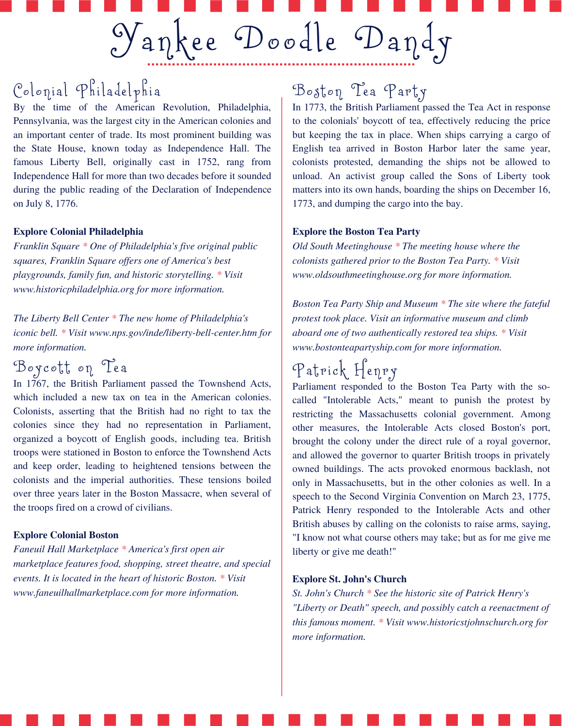# Colonial Philadelphia

By the time of the American Revolution, Philadelphia, Pennsylvania, was the largest city in the American colonies and an important center of trade. Its most prominent building was the State House, known today as Independence Hall. The famous Liberty Bell, originally cast in 1752, rang from Independence Hall for more than two decades before it sounded during the public reading of the Declaration of Independence on July 8, 1776.

#### **Explore Colonial Philadelphia**

*Franklin Square \* One of Philadelphia's five original public squares, Franklin Square of ers one of America's best playgrounds, family fun, and historic storytelling. \* Visit www.historicphiladelphia.org for more information.*

*The Liberty Bell Center \* The new home of Philadelphia's iconic bell. \* Visit www.nps.gov/inde/liberty-bell-center.htm for more information.*

### Boycott on Tea

In 1767, the British Parliament passed the Townshend Acts, which included a new tax on tea in the American colonies. Colonists, asserting that the British had no right to tax the colonies since they had no representation in Parliament, organized a boycott of English goods, including tea. British troops were stationed in Boston to enforce the Townshend Acts and keep order, leading to heightened tensions between the colonists and the imperial authorities. These tensions boiled over three years later in the Boston Massacre, when several of the troops fired on a crowd of civilians.

#### **Explore Colonial Boston**

*Faneuil Hall Marketplace \* America's first open air marketplace features food, shopping, street theatre, and special events. It is located in the heart of historic Boston. \* Visit www.faneuilhallmarketplace.com for more information.*

## Boston Tea Party

Vankee Doodle Dandy

In 1773, the British Parliament passed the Tea Act in response to the colonials' boycott of tea, effectively reducing the price but keeping the tax in place. When ships carrying a cargo of English tea arrived in Boston Harbor later the same year, colonists protested, demanding the ships not be allowed to unload. An activist group called the Sons of Liberty took matters into its own hands, boarding the ships on December 16, 1773, and dumping the cargo into the bay.

#### **Explore the Boston Tea Party**

*Old South Meetinghouse \* The meeting house where the colonists gathered prior to the Boston Tea Party. \* Visit www.oldsouthmeetinghouse.org for more information.*

*Boston Tea Party Ship and Museum \* The site where the fateful protest took place. Visit an informative museum and climb aboard one of two authentically restored tea ships. \* Visit www.bostonteapartyship.com for more information.*

# Patrick Henry

Parliament responded to the Boston Tea Party with the socalled "Intolerable Acts," meant to punish the protest by restricting the Massachusetts colonial government. Among other measures, the Intolerable Acts closed Boston's port, brought the colony under the direct rule of a royal governor, and allowed the governor to quarter British troops in privately owned buildings. The acts provoked enormous backlash, not only in Massachusetts, but in the other colonies as well. In a speech to the Second Virginia Convention on March 23, 1775, Patrick Henry responded to the Intolerable Acts and other British abuses by calling on the colonists to raise arms, saying, "I know not what course others may take; but as for me give me liberty or give me death!"

#### **Explore St. John's Church**

*St. John's Church \* See the historic site of Patrick Henry's "Liberty or Death" speech, and possibly catch a reenactment of this famous moment. \* Visit www.historicstjohnschurch.org for more information.*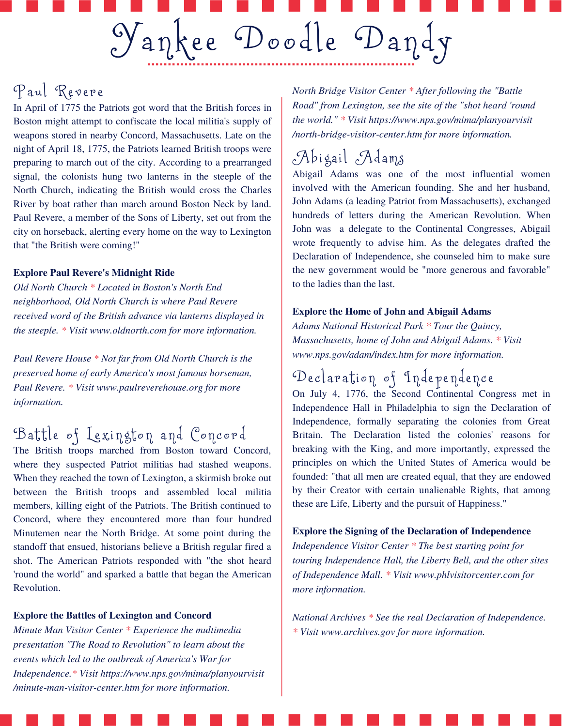Vankee Doodle Dandy

## Paul Revere

In April of 1775 the Patriots got word that the British forces in Boston might attempt to confiscate the local militia's supply of weapons stored in nearby Concord, Massachusetts. Late on the night of April 18, 1775, the Patriots learned British troops were preparing to march out of the city. According to a prearranged signal, the colonists hung two lanterns in the steeple of the North Church, indicating the British would cross the Charles River by boat rather than march around Boston Neck by land. Paul Revere, a member of the Sons of Liberty, set out from the city on horseback, alerting every home on the way to Lexington that "the British were coming!"

### **Explore Paul Revere's Midnight Ride**

*Old North Church \* Located in Boston's North End neighborhood, Old North Church is where Paul Revere received word of the British advance via lanterns displayed in the steeple. \* Visit www.oldnorth.com for more information.*

*Paul Revere House \* Not far from Old North Church is the preserved home of early America's most famous horseman, Paul Revere. \* Visit www.paulreverehouse.org for more information.*

## Battle of Lexington and Concord

The British troops marched from Boston toward Concord, where they suspected Patriot militias had stashed weapons. When they reached the town of Lexington, a skirmish broke out between the British troops and assembled local militia members, killing eight of the Patriots. The British continued to Concord, where they encountered more than four hundred Minutemen near the North Bridge. At some point during the standoff that ensued, historians believe a British regular fired a shot. The American Patriots responded with "the shot heard 'round the world" and sparked a battle that began the American Revolution.

### **Explore the Battles of Lexington and Concord**

*Minute Man Visitor Center \* Experience the multimedia presentation "The Road to Revolution" to learn about the events which led to the outbreak of America's War for Independence.\* Visit https://www.nps.gov/mima/planyourvisit /minute-man-visitor-center.htm for more information.*

*North Bridge Visitor Center \* After following the "Battle Road" from Lexington, see the site of the "shot heard 'round the world." \* Visit https://www.nps.gov/mima/planyourvisit /north-bridge-visitor-center.htm for more information.*

## Abigail Adams

Abigail Adams was one of the most influential women involved with the American founding. She and her husband, John Adams (a leading Patriot from Massachusetts), exchanged hundreds of letters during the American Revolution. When John was a delegate to the Continental Congresses, Abigail wrote frequently to advise him. As the delegates drafted the Declaration of Independence, she counseled him to make sure the new government would be "more generous and favorable" to the ladies than the last.

### **Explore the Home of John and Abigail Adams**

*Adams National Historical Park \* Tour the Quincy, Massachusetts, home of John and Abigail Adams. \* Visit www.nps.gov/adam/index.htm for more information.*

## Declaration of Independence

On July 4, 1776, the Second Continental Congress met in Independence Hall in Philadelphia to sign the Declaration of Independence, formally separating the colonies from Great Britain. The Declaration listed the colonies' reasons for breaking with the King, and more importantly, expressed the principles on which the United States of America would be founded: "that all men are created equal, that they are endowed by their Creator with certain unalienable Rights, that among these are Life, Liberty and the pursuit of Happiness."

### **Explore the Signing of the Declaration of Independence**

*Independence Visitor Center \* The best starting point for touring Independence Hall, the Liberty Bell, and the other sites of Independence Mall. \* Visit www.phlvisitorcenter.com for more information.*

*National Archives \* See the real Declaration of Independence. \* Visit www.archives.gov for more information.*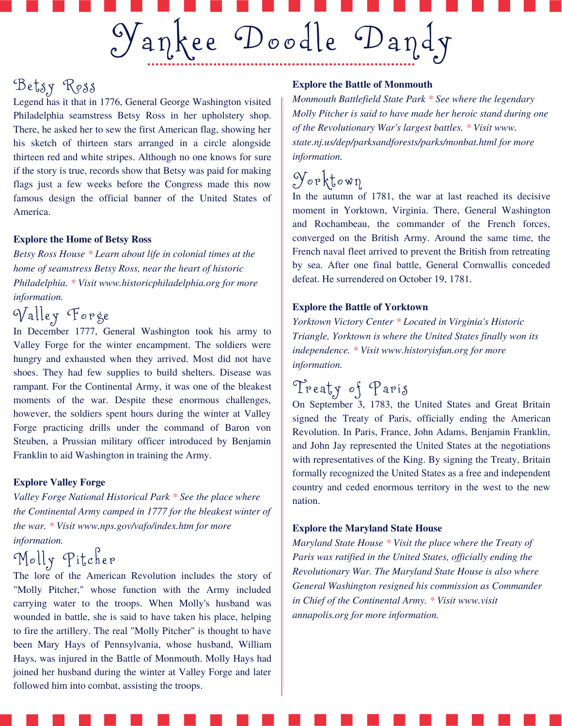Vankee Doodle Dandy

### Betsy Ross

Legend has it that in 1776, General George Washington visited Philadelphia seamstress Betsy Ross in her upholstery shop. There, he asked her to sew the first American flag, showing her his sketch of thirteen stars arranged in a circle alongside thirteen red and white stripes. Although no one knows for sure if the story is true, records show that Betsy was paid for making flags just a few weeks before the Congress made this now famous design the official banner of the United States of America.

### **Explore the Home of Betsy Ross**

*Betsy Ross House \* Learn about life in colonial times at the home of seamstress Betsy Ross, near the heart of historic Philadelphia. \* Visit www.historicphiladelphia.org for more information.*

Valley Forge

In December 1777, General Washington took his army to Valley Forge for the winter encampment. The soldiers were hungry and exhausted when they arrived. Most did not have shoes. They had few supplies to build shelters. Disease was rampant. For the Continental Army, it was one of the bleakest moments of the war. Despite these enormous challenges, however, the soldiers spent hours during the winter at Valley Forge practicing drills under the command of Baron von Steuben, a Prussian military officer introduced by Benjamin Franklin to aid Washington in training the Army.

### **Explore Valley Forge**

*Valley Forge National Historical Park \* See the place where the Continental Army camped in 1777 for the bleakest winter of the war. \* Visit www.nps.gov/vafo/index.htm for more information.*

Molly Pitcher

The lore of the American Revolution includes the story of "Molly Pitcher," whose function with the Army included carrying water to the troops. When Molly's husband was wounded in battle, she is said to have taken his place, helping to fire the artillery. The real "Molly Pitcher" is thought to have been Mary Hays of Pennsylvania, whose husband, William Hays, was injured in the Battle of Monmouth. Molly Hays had joined her husband during the winter at Valley Forge and later followed him into combat, assisting the troops.

### **Explore the Battle of Monmouth**

*Monmouth Battlefield State Park \* See where the legendary Molly Pitcher is said to have made her heroic stand during one of the Revolutionary War's largest battles. \* Visit www. state.nj.us/dep/parksandforests/parks/monbat.html for more information.*

## $y_{\text{or}}$  k town

In the autumn of 1781, the war at last reached its decisive moment in Yorktown, Virginia. There, General Washington and Rochambeau, the commander of the French forces, converged on the British Army. Around the same time, the French naval fleet arrived to prevent the British from retreating by sea. After one final battle, General Cornwallis conceded defeat. He surrendered on October 19, 1781.

### **Explore the Battle of Yorktown**

*Yorktown Victory Center \* Located in Virginia's Historic Triangle, Yorktown is where the United States finally won its independence. \* Visit www.historyisfun.org for more information.*

## Treaty of Paris

On September 3, 1783, the United States and Great Britain signed the Treaty of Paris, officially ending the American Revolution. In Paris, France, John Adams, Benjamin Franklin, and John Jay represented the United States at the negotiations with representatives of the King. By signing the Treaty, Britain formally recognized the United States as a free and independent country and ceded enormous territory in the west to the new nation.

#### **Explore the Maryland State House**

*Maryland State House \* Visit the place where the Treaty of Paris was ratified in the United States, of icially ending the Revolutionary War. The Maryland State House is also where General Washington resigned his commission as Commander in Chief of the Continental Army. \* Visit www.visit annapolis.org for more information.*